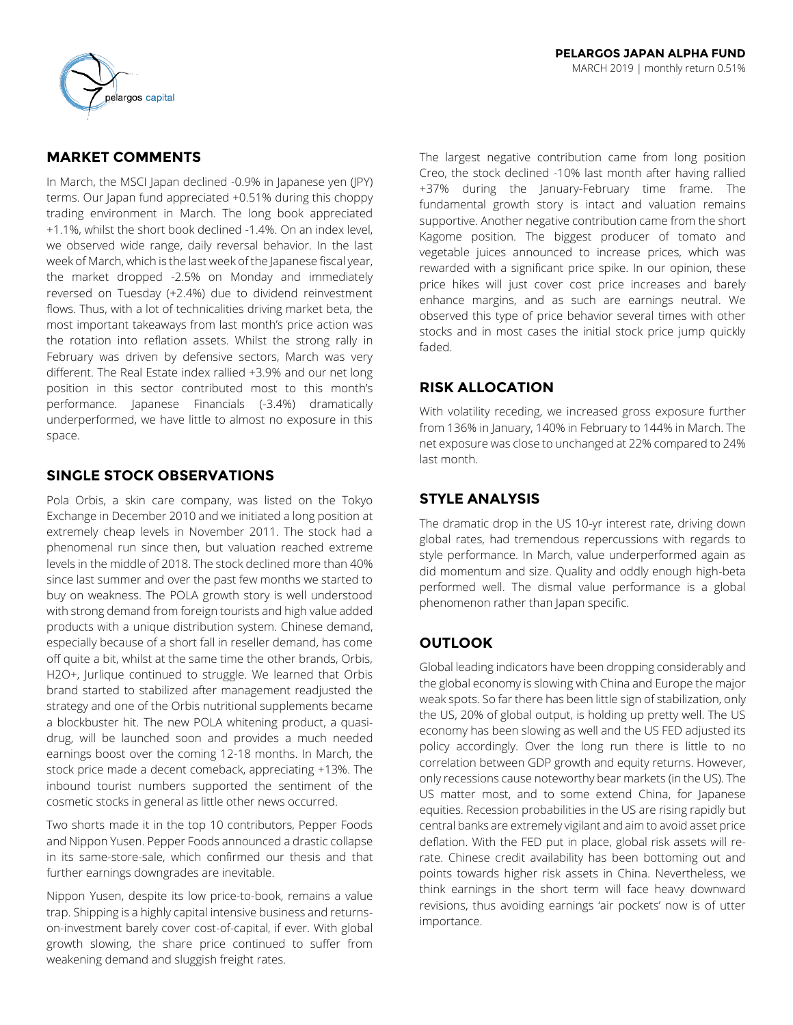

# **MARKET COMMENTS**

In March, the MSCI Japan declined -0.9% in Japanese yen (JPY) terms. Our Japan fund appreciated +0.51% during this choppy trading environment in March. The long book appreciated +1.1%, whilst the short book declined -1.4%. On an index level, we observed wide range, daily reversal behavior. In the last week of March, which is the last week of the Japanese fiscal year, the market dropped -2.5% on Monday and immediately reversed on Tuesday (+2.4%) due to dividend reinvestment flows. Thus, with a lot of technicalities driving market beta, the most important takeaways from last month's price action was the rotation into reflation assets. Whilst the strong rally in February was driven by defensive sectors, March was very different. The Real Estate index rallied +3.9% and our net long position in this sector contributed most to this month's performance. Japanese Financials (-3.4%) dramatically underperformed, we have little to almost no exposure in this space.

## **SINGLE STOCK OBSERVATIONS**

Pola Orbis, a skin care company, was listed on the Tokyo Exchange in December 2010 and we initiated a long position at extremely cheap levels in November 2011. The stock had a phenomenal run since then, but valuation reached extreme levels in the middle of 2018. The stock declined more than 40% since last summer and over the past few months we started to buy on weakness. The POLA growth story is well understood with strong demand from foreign tourists and high value added products with a unique distribution system. Chinese demand, especially because of a short fall in reseller demand, has come off quite a bit, whilst at the same time the other brands, Orbis, H2O+, Jurlique continued to struggle. We learned that Orbis brand started to stabilized after management readjusted the strategy and one of the Orbis nutritional supplements became a blockbuster hit. The new POLA whitening product, a quasidrug, will be launched soon and provides a much needed earnings boost over the coming 12-18 months. In March, the stock price made a decent comeback, appreciating +13%. The inbound tourist numbers supported the sentiment of the cosmetic stocks in general as little other news occurred.

Two shorts made it in the top 10 contributors, Pepper Foods and Nippon Yusen. Pepper Foods announced a drastic collapse in its same-store-sale, which confirmed our thesis and that further earnings downgrades are inevitable.

Nippon Yusen, despite its low price-to-book, remains a value trap. Shipping is a highly capital intensive business and returnson-investment barely cover cost-of-capital, if ever. With global growth slowing, the share price continued to suffer from weakening demand and sluggish freight rates.

The largest negative contribution came from long position Creo, the stock declined -10% last month after having rallied +37% during the January-February time frame. The fundamental growth story is intact and valuation remains supportive. Another negative contribution came from the short Kagome position. The biggest producer of tomato and vegetable juices announced to increase prices, which was rewarded with a significant price spike. In our opinion, these price hikes will just cover cost price increases and barely enhance margins, and as such are earnings neutral. We observed this type of price behavior several times with other stocks and in most cases the initial stock price jump quickly faded.

## **RISK ALLOCATION**

With volatility receding, we increased gross exposure further from 136% in January, 140% in February to 144% in March. The net exposure was close to unchanged at 22% compared to 24% last month.

## **STYLE ANALYSIS**

The dramatic drop in the US 10-yr interest rate, driving down global rates, had tremendous repercussions with regards to style performance. In March, value underperformed again as did momentum and size. Quality and oddly enough high-beta performed well. The dismal value performance is a global phenomenon rather than Japan specific.

## **OUTLOOK**

Global leading indicators have been dropping considerably and the global economy is slowing with China and Europe the major weak spots. So far there has been little sign of stabilization, only the US, 20% of global output, is holding up pretty well. The US economy has been slowing as well and the US FED adjusted its policy accordingly. Over the long run there is little to no correlation between GDP growth and equity returns. However, only recessions cause noteworthy bear markets (in the US). The US matter most, and to some extend China, for Japanese equities. Recession probabilities in the US are rising rapidly but central banks are extremely vigilant and aim to avoid asset price deflation. With the FED put in place, global risk assets will rerate. Chinese credit availability has been bottoming out and points towards higher risk assets in China. Nevertheless, we think earnings in the short term will face heavy downward revisions, thus avoiding earnings 'air pockets' now is of utter importance.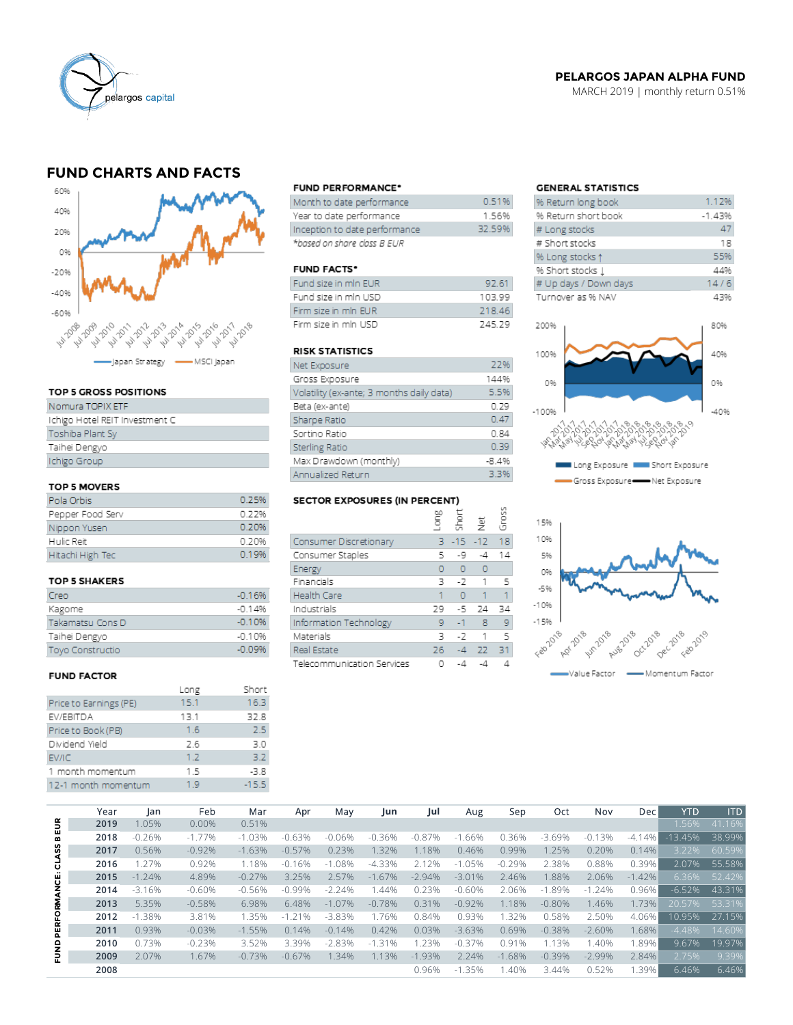

### **PELARGOS JAPAN ALPHA FUND**

MARCH 2019 | monthly return 0.51%

# **FUND CHARTS AND FACTS**



### TOP 5 GROSS POSITIONS

| Nomura TOPIX ETF               |
|--------------------------------|
| Ichigo Hotel REIT Investment C |
| Toshiba Plant Sy               |
| Taihei Dengyo                  |
| Ichigo Group                   |
|                                |

### TOP 5 MOVERS

| Pola Orbis       | 0.25% |
|------------------|-------|
| Pepper Food Serv | 0.22% |
| Nippon Yusen     | 0.20% |
| Hulic Reit       | 0.20% |
| Hitachi High Tec | 0.19% |

#### **TOP 5 SHAKERS**

| Creo                    | $-0.16%$ |
|-------------------------|----------|
| Kagome                  | $-0.14%$ |
| Takamatsu Cons D        | $-0.10%$ |
| Taihei Dengyo           | $-0.10%$ |
| <b>Toyo Constructio</b> | $-0.09%$ |

#### **FUND FACTOR**

|                        | Long | Short   |
|------------------------|------|---------|
| Price to Earnings (PE) | 15.1 | 16.3    |
| EV/EBITDA              | 13.1 | 32.8    |
| Price to Book (PB)     | 1.6  | 2.5     |
| Dividend Yield         | 2.6  | 3.0     |
| EV/IC                  | 1.2  | 3.2     |
| 1 month momentum       | 1.5  | $-3.8$  |
| 12-1 month momentum    | 1.9  | $-15.5$ |
|                        |      |         |

#### **FUND PERFORMANCE\***

| Month to date performance     | 0.51%  |
|-------------------------------|--------|
| Year to date performance      | 1.56%  |
| Inception to date performance | 32.59% |
| *based on share class B EUR   |        |

#### **FUND FACTS\***

| Fund size in min EUR | 92.61  |
|----------------------|--------|
| Fund size in mln USD | 10399  |
| Firm size in min EUR | 218.46 |
| Firm size in mln USD | 24529  |

#### **RISK STATISTICS**

| Net Exposure                              | 22%     |
|-------------------------------------------|---------|
| Gross Exposure                            | 144%    |
| Volatility (ex-ante; 3 months daily data) | 5.5%    |
| Beta (ex-ante)                            | 0.29    |
| Sharpe Ratio                              | 0.47    |
| Sortino Ratio                             | 0.84    |
| <b>Sterling Ratio</b>                     | 0.39    |
| Max Drawdown (monthly)                    | $-8.4%$ |
| Annualized Return                         | 3.3%    |

### SECTOR EXPOSURES (IN PERCENT)

|                            | guo | Short         | 흋        | Gros |
|----------------------------|-----|---------------|----------|------|
| Consumer Discretionary     |     | $3 - 15 - 12$ |          | 18   |
| Consumer Staples           | 5   | -9            | -4       | 14   |
| Energy                     | O   | $\circ$       | $\circ$  |      |
| Financials                 | 3   |               | $-2$ 1   | -5   |
| <b>Health Care</b>         | 1   | $\Omega$      | 1        | 1.   |
| Industrials                | 29  | -5            | 24       | 34   |
| Information Technology     | 9   | $-1$          | -8       | 9    |
| Materials                  | ٦   | $-7$          | $\lceil$ | 5    |
| Real Estate                | 26  | $-4$          | 22       | 31   |
| Telecommunication Services |     | -4            | -4       |      |

 $\overline{a}$ 

### **GENERAL STATISTICS**

| % Return long book    | 1.12%    |
|-----------------------|----------|
| % Return short book   | $-1.43%$ |
| # Long stocks         | 47       |
| # Short stocks        | 18       |
| % Long stocks 1       | 55%      |
| % Short stocks 1      | 44%      |
| # Up days / Down days | 14/6     |
| Turnover as % NAV     | 43%      |
|                       |          |
| 200%                  | 80%      |
|                       |          |





|                     | Year | Jan      | Feb      | Mar      | Apr      | May      | Jun          | Jul       | Aug        | Sep          | Oct       | Nov      | Dec      | <b>YTD</b> | <b>ITD</b> |
|---------------------|------|----------|----------|----------|----------|----------|--------------|-----------|------------|--------------|-----------|----------|----------|------------|------------|
| EUR                 | 2019 | 1.05%    | 0.00%    | 0.51%    |          |          |              |           |            |              |           |          |          | 1.56%      | 41.16%     |
| m                   | 2018 | $-0.26%$ | $-1.77%$ | $-1.03%$ | $-0.63%$ | $-0.06%$ | .36%<br>$-0$ | $-0.87%$  | .66%<br>-1 | 0.36%        | $-3.69%$  | $-0.13%$ | $-4.14%$ | $-13.45%$  | 38.99%     |
| SS                  | 2017 | 0.56%    | $-0.92%$ | $-1.63%$ | $-0.57%$ | 0.23%    | 1.32%        | 1.18%     | 0.46%      | 0.99%        | 1.25%     | 0.20%    | 0.14%    | 3.22%      | 60.59%     |
| Š                   | 2016 | 1.27%    | 0.92%    | 1.18%    | $-0.16%$ | $-1.08%$ | $-4.33%$     | 2%<br>2.1 | $-1.05%$   | $-0.29%$     | 2.38%     | 0.88%    | 0.39%    | 2.07%      | 55.58%     |
|                     | 2015 | $-1.24%$ | 4.89%    | $-0.27%$ | 3.25%    | 2.57%    | $-1.67%$     | $-2.94%$  | $-3.01%$   | 2.46%        | 1.88%     | 2.06%    | $-1.42%$ | 6.36%      | 52.42%     |
| <b>PERFORMANCE:</b> | 2014 | $-3.16%$ | $-0.60%$ | $-0.56%$ | $-0.99%$ | $-2.24%$ | .44%         | 0.23%     | $-0.60%$   | 2.06%        | $-1.89%$  | $-1.24%$ | 0.96%    | $-6.52%$   | 43.31%     |
|                     | 2013 | 5.35%    | $-0.58%$ | 6.98%    | 6.48%    | $-1.07%$ | $-0.78%$     | 0.31%     | $-0.92%$   | 1.18%        | $-0.80%$  | 1.46%    | 1.73%    | 20.57%     | 53.31%     |
|                     | 2012 | $-1.38%$ | 3.81%    | 1.35%    | $-1.21%$ | $-3.83%$ | 1.76%        | 0.84%     | 0.93%      | .32%         | 0.58%     | 2.50%    | 4.06%    | 10.95%     | 27.15%     |
|                     | 2011 | 0.93%    | $-0.03%$ | $-1.55%$ | 0.14%    | $-0.14%$ | 0.42%        | 0.03%     | $-3.63%$   | 0.69%        | $-0.38%$  | $-2.60%$ | .68%     | $-4.48%$   | 14.60%     |
|                     | 2010 | 0.73%    | $-0.23%$ | 3.52%    | 3.39%    | $-2.83%$ | $-1.31%$     | 1.23%     | $-0.37%$   | 0.91%        | 3%<br>1.1 | 1.40%    | .89%     | 9.67%      | 19.97%     |
| ENND                | 2009 | 2.07%    | 1.67%    | $-0.73%$ | $-0.67%$ | 1.34%    | 1.13%        | $-1.93%$  | 2.24%      | .68%<br>$-1$ | $-0.39%$  | $-2.99%$ | 2.84%    | 2.75%      | 9.39%      |
|                     | 2008 |          |          |          |          |          |              | 0.96%     | $-1.35%$   | .40%         | 3.44%     | 0.52%    | .39%     | 6.46%      | 6.46%      |